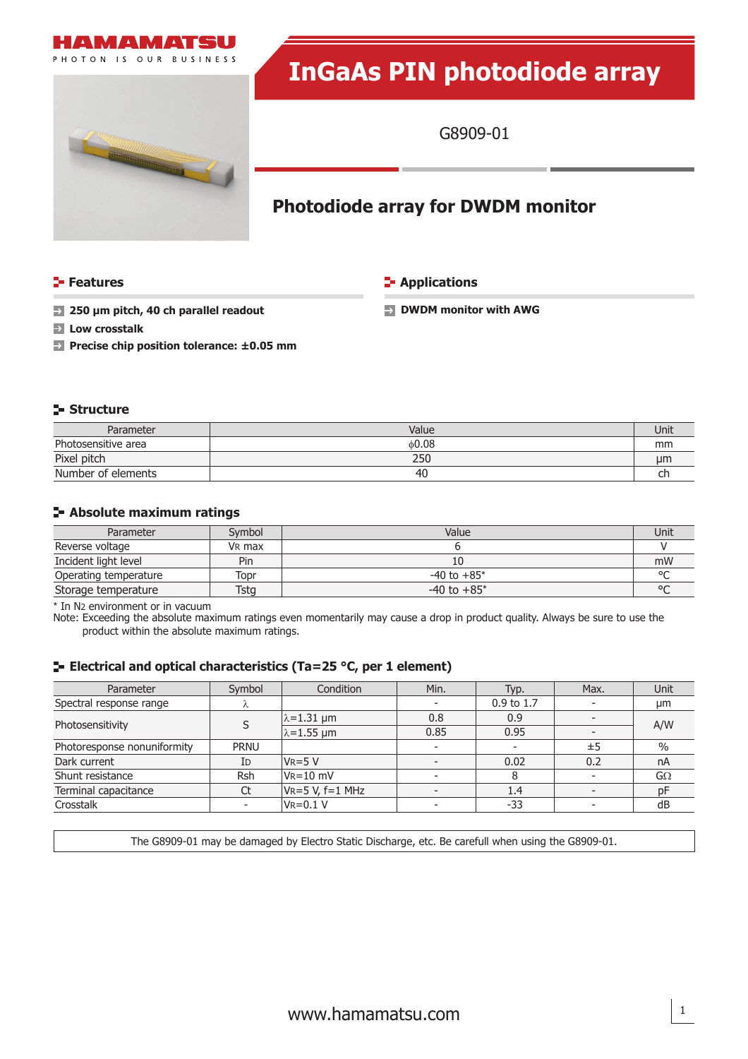

# 

# **InGaAs PIN photodiode array**

G8909-01

# **Photodiode array for DWDM monitor**

**Features CONSIDERING INCREDICT IN THE EXAMPLE THE EXAMPLE THE EXAMPLE THE EXAMPLE THE EXAMPLE THE EXAMPLE THE EXAMPLE THE EXAMPLE THE EXAMPLE THE EXAMPLE THE EXAMPLE THE EXAMPLE THE EXAMPLE THE EXAMPLE THE EXAMPLE THE E** 

**250 μm pitch, 40 ch parallel readout DWDM monitor with AWG** 

- **Low crosstalk**
- **Precise chip position tolerance: ±0.05 mm**

# **Structure**

| Parameter           | Value | Unit |
|---------------------|-------|------|
| Photosensitive area | 0.08  | mm   |
| Pixel pitch         | 250   | иm   |
| Number of elements  | 40    | ᄓ    |

# **Absolute maximum ratings**

| Parameter             | Symbol | Value           | Unit |
|-----------------------|--------|-----------------|------|
| Reverse voltage       | VR max |                 |      |
| Incident light level  | Pin    |                 | mW   |
| Operating temperature | Topr   | $-40$ to $+85*$ |      |
| Storage temperature   | Tstg   | $-40$ to $+85*$ |      |

\* In N2 environment or in vacuum

Note: Exceeding the absolute maximum ratings even momentarily may cause a drop in product quality. Always be sure to use the product within the absolute maximum ratings.

# **E** Electrical and optical characteristics (Ta=25 °C, per 1 element)

| Parameter                   | Symbol                   | Condition              | Min.                     | Typ.                  | Max. | Unit |
|-----------------------------|--------------------------|------------------------|--------------------------|-----------------------|------|------|
| Spectral response range     | Λ                        |                        | $\overline{\phantom{a}}$ | $0.9 \text{ to } 1.7$ |      | μm   |
| Photosensitivity            | S                        | $\lambda = 1.31 \mu m$ | 0.8                      | 0.9                   |      | A/W  |
|                             |                          | $\lambda$ =1.55 µm     | 0.85                     | 0.95                  |      |      |
| Photoresponse nonuniformity | <b>PRNU</b>              |                        | $\overline{\phantom{0}}$ |                       | ±5   | $\%$ |
| Dark current                | ID                       | $V_R = 5 V$            |                          | 0.02                  | 0.2  | nA   |
| Shunt resistance            | <b>Rsh</b>               | $V_R = 10$ mV          |                          | 8                     |      | GΩ   |
| Terminal capacitance        | Ct                       | $VR = 5 V, f = 1 MHz$  |                          | 1.4                   |      | pF   |
| Crosstalk                   | $\overline{\phantom{a}}$ | $V = 0.1 V$            |                          | $-33$                 |      | dB   |

The G8909-01 may be damaged by Electro Static Discharge, etc. Be carefull when using the G8909-01.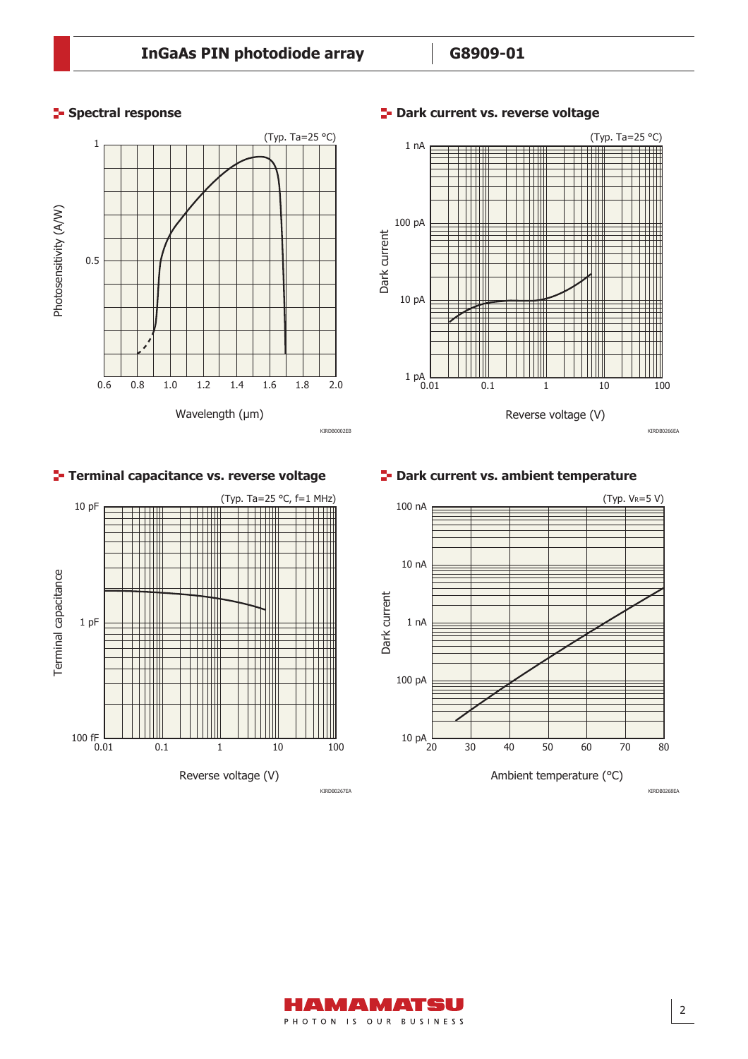

KIRDB0002EB



# $\blacksquare$ **-** Dark current vs. reverse voltage